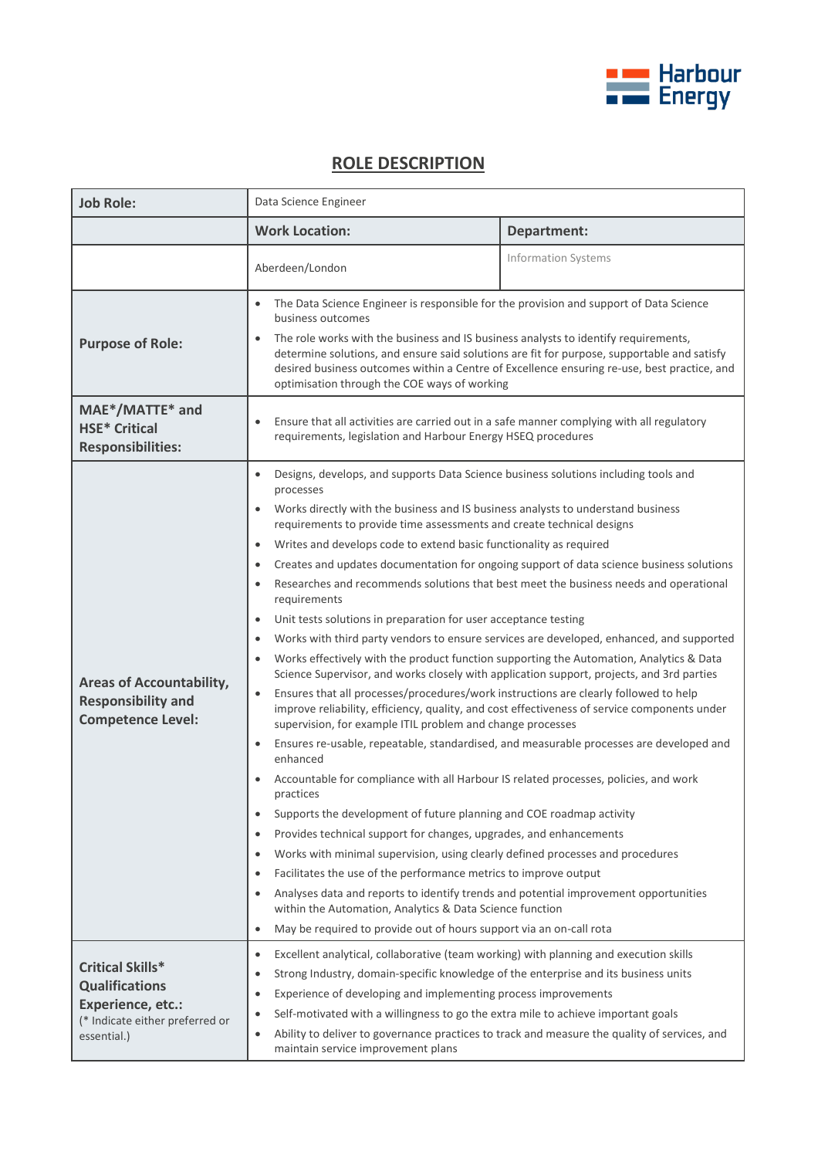

## **ROLE DESCRIPTION**

| <b>Job Role:</b>                                                                                                        | Data Science Engineer                                                                                                                                                                                                                                                                                                                                                                                                                                                                                                                                                                                                                                                                                                                                                                                                                                                                                                                                                                                                                                                                                                                                                                                                                                                                                                                                                                                                                                                                                                                                                                                                                                                                                                                                                                                                                                                                                                                                              |                            |
|-------------------------------------------------------------------------------------------------------------------------|--------------------------------------------------------------------------------------------------------------------------------------------------------------------------------------------------------------------------------------------------------------------------------------------------------------------------------------------------------------------------------------------------------------------------------------------------------------------------------------------------------------------------------------------------------------------------------------------------------------------------------------------------------------------------------------------------------------------------------------------------------------------------------------------------------------------------------------------------------------------------------------------------------------------------------------------------------------------------------------------------------------------------------------------------------------------------------------------------------------------------------------------------------------------------------------------------------------------------------------------------------------------------------------------------------------------------------------------------------------------------------------------------------------------------------------------------------------------------------------------------------------------------------------------------------------------------------------------------------------------------------------------------------------------------------------------------------------------------------------------------------------------------------------------------------------------------------------------------------------------------------------------------------------------------------------------------------------------|----------------------------|
|                                                                                                                         | <b>Work Location:</b>                                                                                                                                                                                                                                                                                                                                                                                                                                                                                                                                                                                                                                                                                                                                                                                                                                                                                                                                                                                                                                                                                                                                                                                                                                                                                                                                                                                                                                                                                                                                                                                                                                                                                                                                                                                                                                                                                                                                              | Department:                |
|                                                                                                                         | Aberdeen/London                                                                                                                                                                                                                                                                                                                                                                                                                                                                                                                                                                                                                                                                                                                                                                                                                                                                                                                                                                                                                                                                                                                                                                                                                                                                                                                                                                                                                                                                                                                                                                                                                                                                                                                                                                                                                                                                                                                                                    | <b>Information Systems</b> |
| <b>Purpose of Role:</b>                                                                                                 | The Data Science Engineer is responsible for the provision and support of Data Science<br>business outcomes<br>The role works with the business and IS business analysts to identify requirements,<br>$\bullet$<br>determine solutions, and ensure said solutions are fit for purpose, supportable and satisfy<br>desired business outcomes within a Centre of Excellence ensuring re-use, best practice, and<br>optimisation through the COE ways of working                                                                                                                                                                                                                                                                                                                                                                                                                                                                                                                                                                                                                                                                                                                                                                                                                                                                                                                                                                                                                                                                                                                                                                                                                                                                                                                                                                                                                                                                                                      |                            |
| MAE*/MATTE* and<br><b>HSE* Critical</b><br><b>Responsibilities:</b>                                                     | Ensure that all activities are carried out in a safe manner complying with all regulatory<br>$\bullet$<br>requirements, legislation and Harbour Energy HSEQ procedures                                                                                                                                                                                                                                                                                                                                                                                                                                                                                                                                                                                                                                                                                                                                                                                                                                                                                                                                                                                                                                                                                                                                                                                                                                                                                                                                                                                                                                                                                                                                                                                                                                                                                                                                                                                             |                            |
| <b>Areas of Accountability,</b><br><b>Responsibility and</b><br><b>Competence Level:</b>                                | Designs, develops, and supports Data Science business solutions including tools and<br>$\bullet$<br>processes<br>Works directly with the business and IS business analysts to understand business<br>requirements to provide time assessments and create technical designs<br>Writes and develops code to extend basic functionality as required<br>$\bullet$<br>Creates and updates documentation for ongoing support of data science business solutions<br>٠<br>Researches and recommends solutions that best meet the business needs and operational<br>requirements<br>Unit tests solutions in preparation for user acceptance testing<br>$\bullet$<br>Works with third party vendors to ensure services are developed, enhanced, and supported<br>$\bullet$<br>Works effectively with the product function supporting the Automation, Analytics & Data<br>$\bullet$<br>Science Supervisor, and works closely with application support, projects, and 3rd parties<br>Ensures that all processes/procedures/work instructions are clearly followed to help<br>$\bullet$<br>improve reliability, efficiency, quality, and cost effectiveness of service components under<br>supervision, for example ITIL problem and change processes<br>Ensures re-usable, repeatable, standardised, and measurable processes are developed and<br>$\bullet$<br>enhanced<br>Accountable for compliance with all Harbour IS related processes, policies, and work<br>practices<br>Supports the development of future planning and COE roadmap activity<br>$\bullet$<br>Provides technical support for changes, upgrades, and enhancements<br>$\bullet$<br>Works with minimal supervision, using clearly defined processes and procedures<br>٠<br>Facilitates the use of the performance metrics to improve output<br>٠<br>Analyses data and reports to identify trends and potential improvement opportunities<br>٠<br>within the Automation, Analytics & Data Science function |                            |
| <b>Critical Skills*</b><br><b>Qualifications</b><br>Experience, etc.:<br>(* Indicate either preferred or<br>essential.) | May be required to provide out of hours support via an on-call rota<br>$\bullet$<br>Excellent analytical, collaborative (team working) with planning and execution skills<br>٠<br>Strong Industry, domain-specific knowledge of the enterprise and its business units<br>$\bullet$<br>Experience of developing and implementing process improvements<br>$\bullet$<br>Self-motivated with a willingness to go the extra mile to achieve important goals<br>٠<br>Ability to deliver to governance practices to track and measure the quality of services, and<br>$\bullet$<br>maintain service improvement plans                                                                                                                                                                                                                                                                                                                                                                                                                                                                                                                                                                                                                                                                                                                                                                                                                                                                                                                                                                                                                                                                                                                                                                                                                                                                                                                                                     |                            |